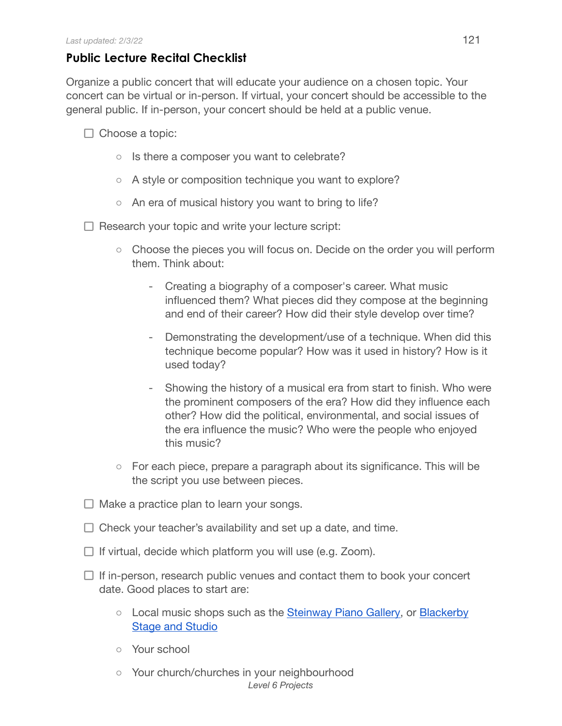## **Public Lecture Recital Checklist**

Organize a public concert that will educate your audience on a chosen topic. Your concert can be virtual or in-person. If virtual, your concert should be accessible to the general public. If in-person, your concert should be held at a public venue.

- $\Box$  Choose a topic:
	- Is there a composer you want to celebrate?
	- A style or composition technique you want to explore?
	- An era of musical history you want to bring to life?

 $\Box$  Research your topic and write your lecture script:

- Choose the pieces you will focus on. Decide on the order you will perform them. Think about:
	- Creating a biography of a composer's career. What music influenced them? What pieces did they compose at the beginning and end of their career? How did their style develop over time?
	- Demonstrating the development/use of a technique. When did this technique become popular? How was it used in history? How is it used today?
	- Showing the history of a musical era from start to finish. Who were the prominent composers of the era? How did they influence each other? How did the political, environmental, and social issues of the era influence the music? Who were the people who enjoyed this music?
- For each piece, prepare a paragraph about its significance. This will be the script you use between pieces.
- $\Box$  Make a practice plan to learn your songs.
- $\Box$  Check your teacher's availability and set up a date, and time.
- $\Box$  If virtual, decide which platform you will use (e.g. Zoom).
- $\Box$  If in-person, research public venues and contact them to book your concert date. Good places to start are:
	- Local music shops such as the [Steinway Piano](http://www.steinwayofaustin.com/) Gallery, or [Blackerby](https://stageandstudio.com/) Stage and [Studio](https://stageandstudio.com/)
	- Your school
	- Your church/churches in your neighbourhood *Level 6 Projects*